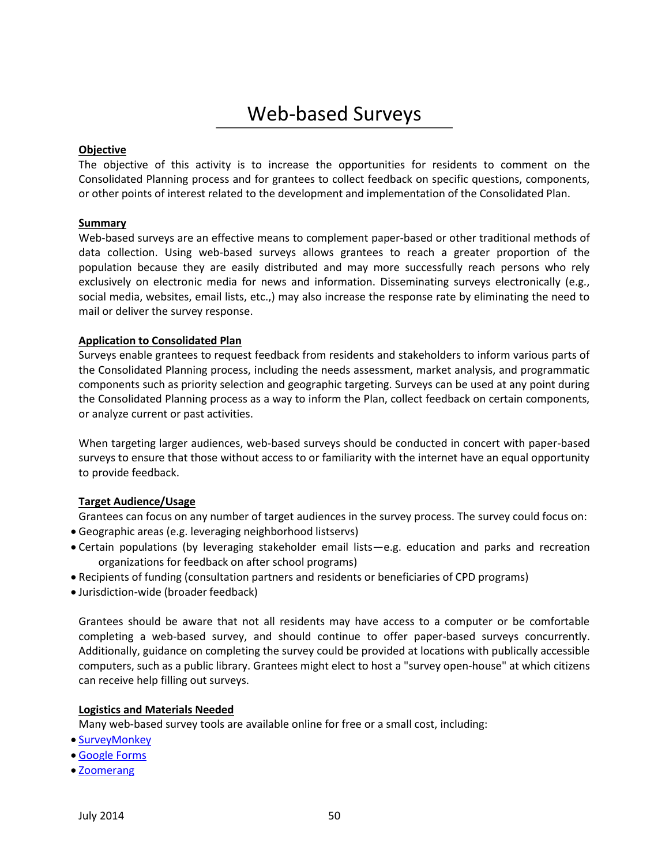# Web-based Surveys

#### **Objective**

The objective of this activity is to increase the opportunities for residents to comment on the Consolidated Planning process and for grantees to collect feedback on specific questions, components, or other points of interest related to the development and implementation of the Consolidated Plan.

#### **Summary**

Web-based surveys are an effective means to complement paper-based or other traditional methods of data collection. Using web-based surveys allows grantees to reach a greater proportion of the population because they are easily distributed and may more successfully reach persons who rely exclusively on electronic media for news and information. Disseminating surveys electronically (e.g., social media, websites, email lists, etc.,) may also increase the response rate by eliminating the need to mail or deliver the survey response.

#### **Application to Consolidated Plan**

Surveys enable grantees to request feedback from residents and stakeholders to inform various parts of the Consolidated Planning process, including the needs assessment, market analysis, and programmatic components such as priority selection and geographic targeting. Surveys can be used at any point during the Consolidated Planning process as a way to inform the Plan, collect feedback on certain components, or analyze current or past activities.

When targeting larger audiences, web-based surveys should be conducted in concert with paper-based surveys to ensure that those without access to or familiarity with the internet have an equal opportunity to provide feedback.

### **Target Audience/Usage**

Grantees can focus on any number of target audiences in the survey process. The survey could focus on:

- Geographic areas (e.g. leveraging neighborhood listservs)
- Certain populations (by leveraging stakeholder email lists—e.g. education and parks and recreation organizations for feedback on after school programs)
- Recipients of funding (consultation partners and residents or beneficiaries of CPD programs)
- Jurisdiction-wide (broader feedback)

Grantees should be aware that not all residents may have access to a computer or be comfortable completing a web-based survey, and should continue to offer paper-based surveys concurrently. Additionally, guidance on completing the survey could be provided at locations with publically accessible computers, such as a public library. Grantees might elect to host a "survey open-house" at which citizens can receive help filling out surveys.

#### **Logistics and Materials Needed**

Many web-based survey tools are available online for free or a small cost, including:

- [SurveyMonkey](http://www.surveymonkey.com/)
- [Google Forms](https://support.google.com/drive/answer/87809?hl=en)
- [Zoomerang](http://www.zoomerang.com/)